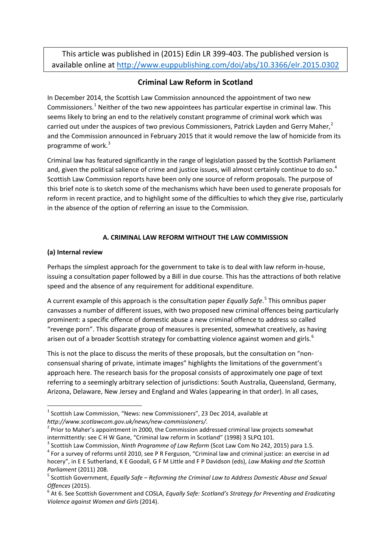This article was published in (2015) Edin LR 399-403. The published version is available online at<http://www.euppublishing.com/doi/abs/10.3366/elr.2015.0302>

# **Criminal Law Reform in Scotland**

In December 2014, the Scottish Law Commission announced the appointment of two new Commissioners.<sup>[1](#page-0-0)</sup> Neither of the two new appointees has particular expertise in criminal law. This seems likely to bring an end to the relatively constant programme of criminal work which was carried out under the auspices of two previous Commissioners, Patrick Layden and Gerry Maher, $<sup>2</sup>$  $<sup>2</sup>$  $<sup>2</sup>$ </sup> and the Commission announced in February 2015 that it would remove the law of homicide from its programme of work.<sup>[3](#page-0-2)</sup>

Criminal law has featured significantly in the range of legislation passed by the Scottish Parliament and, given the political salience of crime and justice issues, will almost certainly continue to do so.<sup>[4](#page-0-3)</sup> Scottish Law Commission reports have been only one source of reform proposals. The purpose of this brief note is to sketch some of the mechanisms which have been used to generate proposals for reform in recent practice, and to highlight some of the difficulties to which they give rise, particularly in the absence of the option of referring an issue to the Commission.

## **A. CRIMINAL LAW REFORM WITHOUT THE LAW COMMISSION**

## **(a) Internal review**

Perhaps the simplest approach for the government to take is to deal with law reform in-house, issuing a consultation paper followed by a Bill in due course. This has the attractions of both relative speed and the absence of any requirement for additional expenditure.

A current example of this approach is the consultation paper *Equally Safe*. [5](#page-0-4) This omnibus paper canvasses a number of different issues, with two proposed new criminal offences being particularly prominent: a specific offence of domestic abuse a new criminal offence to address so called "revenge porn". This disparate group of measures is presented, somewhat creatively, as having arisen out of a broader Scottish strategy for combatting violence against women and girls.<sup>[6](#page-0-5)</sup>

This is not the place to discuss the merits of these proposals, but the consultation on "nonconsensual sharing of private, intimate images" highlights the limitations of the government's approach here. The research basis for the proposal consists of approximately one page of text referring to a seemingly arbitrary selection of jurisdictions: South Australia, Queensland, Germany, Arizona, Delaware, New Jersey and England and Wales (appearing in that order). In all cases,

<span id="page-0-2"></span>intermittently: see C H W Gane, "Criminal law reform in Scotland" (1998) 3 SLPQ 101.<br><sup>3</sup> Scottish Law Commission, *Ninth Programme of Law Reform* (Scot Law Com No 242, 2015) para 1.5.<br><sup>4</sup> For a survey of reforms until 2010

<span id="page-0-0"></span> $1$  Scottish Law Commission, "News: new Commissioners", 23 Dec 2014, available at

<span id="page-0-1"></span>*http://www.scotlawcom.gov.uk/news/new-commissioners/.*<br><sup>2</sup> Prior to Maher's appointment in 2000, the Commission addressed criminal law projects somewhat

<span id="page-0-3"></span>hocery", in E E Sutherland, K E Goodall, G F M Little and F P Davidson (eds), *Law Making and the Scottish Parliament (2011) 208.*<br><sup>5</sup> Scottish Government, *Equally Safe – Reforming the Criminal Law to Address Domestic Abuse and Sexual* 

<span id="page-0-4"></span>

<span id="page-0-5"></span>*Offences (2015).*<br><sup>6</sup> At 6. See Scottish Government and COSLA, *Equally Safe: Scotland's Strategy for Preventing and Eradicating Violence against Women and Girls* (2014).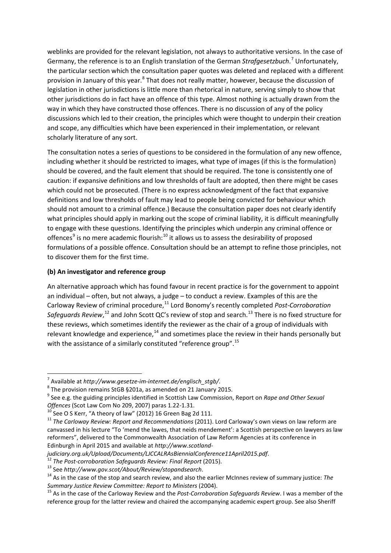weblinks are provided for the relevant legislation, not always to authoritative versions. In the case of Germany, the reference is to an English translation of the German *Strafgesetzbuch*. [7](#page-1-0) Unfortunately, the particular section which the consultation paper quotes was deleted and replaced with a different provision in January of this year.<sup>[8](#page-1-1)</sup> That does not really matter, however, because the discussion of legislation in other jurisdictions is little more than rhetorical in nature, serving simply to show that other jurisdictions do in fact have an offence of this type. Almost nothing is actually drawn from the way in which they have constructed those offences. There is no discussion of any of the policy discussions which led to their creation, the principles which were thought to underpin their creation and scope, any difficulties which have been experienced in their implementation, or relevant scholarly literature of any sort.

The consultation notes a series of questions to be considered in the formulation of any new offence, including whether it should be restricted to images, what type of images (if this is the formulation) should be covered, and the fault element that should be required. The tone is consistently one of caution: if expansive definitions and low thresholds of fault are adopted, then there might be cases which could not be prosecuted. (There is no express acknowledgment of the fact that expansive definitions and low thresholds of fault may lead to people being convicted for behaviour which should not amount to a criminal offence.) Because the consultation paper does not clearly identify what principles should apply in marking out the scope of criminal liability, it is difficult meaningfully to engage with these questions. Identifying the principles which underpin any criminal offence or offences<sup>[9](#page-1-2)</sup> is no mere academic flourish:<sup>[10](#page-1-3)</sup> it allows us to assess the desirability of proposed formulations of a possible offence. Consultation should be an attempt to refine those principles, not to discover them for the first time.

### **(b) An investigator and reference group**

An alternative approach which has found favour in recent practice is for the government to appoint an individual – often, but not always, a judge – to conduct a review. Examples of this are the Carloway Review of criminal procedure,<sup>[11](#page-1-4)</sup> Lord Bonomy's recently completed *Post-Corroboration* Safeguards Review,<sup>[12](#page-1-5)</sup> and John Scott QC's review of stop and search.<sup>[13](#page-1-6)</sup> There is no fixed structure for these reviews, which sometimes identify the reviewer as the chair of a group of individuals with relevant knowledge and experience, $14$  and sometimes place the review in their hands personally but with the assistance of a similarly constituted "reference group".<sup>[15](#page-1-8)</sup>

<span id="page-1-2"></span><span id="page-1-1"></span>

<span id="page-1-0"></span><sup>&</sup>lt;sup>7</sup> Available at *http://www.gesetze-im-internet.de/englisch\_stgb/.*<br><sup>8</sup> The provision remains StGB §201a, as amended on 21 January 2015.<br><sup>9</sup> See e.g. the guiding principles identified in Scottish Law Commission, Report o Offences (Scot Law Com No 209, 2007) paras 1.22-1.31.<br><sup>10</sup> See O S Kerr, "A theory of law" (2012) 16 Green Bag 2d 111.<br><sup>11</sup> The Carloway Review: Report and Recommendations (2011). Lord Carloway's own views on law reform ar

<span id="page-1-3"></span>

<span id="page-1-4"></span>canvassed in his lecture "To 'mend the lawes, that neids mendement': a Scottish perspective on lawyers as law reformers", delivered to the Commonwealth Association of Law Reform Agencies at its conference in Edinburgh in April 2015 and available at *http://www.scotland-*

<span id="page-1-6"></span>

<span id="page-1-5"></span>judiciary.org.uk/Upload/Documents/LJCCALRAsBiennialConference11April2015.pdf.<br><sup>12</sup> The Post-corroboration Safeguards Review: Final Report (2015).<br><sup>13</sup> See http://www.gov.scot/About/Review/stopandsearch.<br><sup>14</sup> As in the case

<span id="page-1-8"></span><span id="page-1-7"></span>*Summary Justice Review Committee: Report to Ministers* (2004).<br><sup>15</sup> As in the case of the Carloway Review and the *Post-Corroboration Safeguards Review*. I was a member of the reference group for the latter review and chaired the accompanying academic expert group. See also Sheriff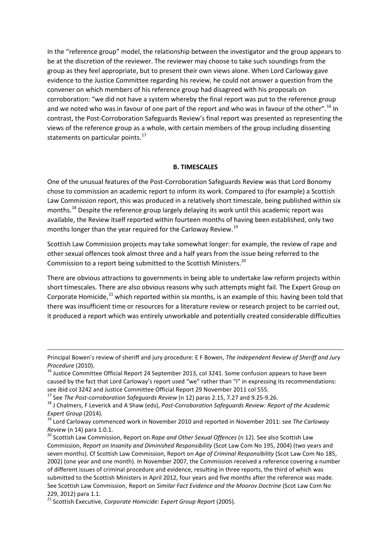In the "reference group" model, the relationship between the investigator and the group appears to be at the discretion of the reviewer. The reviewer may choose to take such soundings from the group as they feel appropriate, but to present their own views alone. When Lord Carloway gave evidence to the Justice Committee regarding his review, he could not answer a question from the convener on which members of his reference group had disagreed with his proposals on corroboration: "we did not have a system whereby the final report was put to the reference group and we noted who was in favour of one part of the report and who was in favour of the other". <sup>[16](#page-2-0)</sup> In contrast, the Post-Corroboration Safeguards Review's final report was presented as representing the views of the reference group as a whole, with certain members of the group including dissenting statements on particular points.<sup>[17](#page-2-1)</sup>

#### **B. TIMESCALES**

One of the unusual features of the Post-Corroboration Safeguards Review was that Lord Bonomy chose to commission an academic report to inform its work. Compared to (for example) a Scottish Law Commission report, this was produced in a relatively short timescale, being published within six months.<sup>[18](#page-2-2)</sup> Despite the reference group largely delaying its work until this academic report was available, the Review itself reported within fourteen months of having been established, only two months longer than the year required for the Carloway Review.<sup>[19](#page-2-3)</sup>

Scottish Law Commission projects may take somewhat longer: for example, the review of rape and other sexual offences took almost three and a half years from the issue being referred to the Commission to a report being submitted to the Scottish Ministers.<sup>[20](#page-2-4)</sup>

There are obvious attractions to governments in being able to undertake law reform projects within short timescales. There are also obvious reasons why such attempts might fail. The Expert Group on Corporate Homicide, $^{21}$  $^{21}$  $^{21}$  which reported within six months, is an example of this: having been told that there was insufficient time or resources for a literature review or research project to be carried out, it produced a report which was entirely unworkable and potentially created considerable difficulties

**.** 

Principal Bowen's review of sheriff and jury procedure: E F Bowen, *The Independent Review of Sheriff and Jury* 

<span id="page-2-0"></span>*Procedure* (2010).<br><sup>16</sup> Justice Committee Official Report 24 September 2013, col 3241. Some confusion appears to have been caused by the fact that Lord Carloway's report used "we" rather than "I" in expressing its recommendations:

see ibid col 3242 and Justice Committee Official Report 29 November 2011 col 555.<br><sup>17</sup> See The Post-corroboration Safeguards Review (n 12) paras 2.15, 7.27 and 9.25-9.26.

<span id="page-2-2"></span><span id="page-2-1"></span><sup>&</sup>lt;sup>18</sup> J Chalmers, F Leverick and A Shaw (eds), Post-Corroboration Safeguards Review: Report of the Academic *Expert Group* (2014).<br><sup>19</sup> Lord Carloway commenced work in November 2010 and reported in November 2011: see *The Carloway* 

<span id="page-2-3"></span>*Review (n 14) para 1.0.1.*<br><sup>20</sup> Scottish Law Commission, Report on *Rape and Other Sexual Offences (n 12)*. See also Scottish Law

<span id="page-2-4"></span>Commission, *Report on Insanity and Diminished Responsibility* (Scot Law Com No 195, 2004) (two years and seven months). Cf Scottish Law Commission, Report on *Age of Criminal Responsibility* (Scot Law Com No 185, 2002) (one year and one month). In November 2007, the Commission received a reference covering a number of different issues of criminal procedure and evidence, resulting in three reports, the third of which was submitted to the Scottish Ministers in April 2012, four years and five months after the reference was made. See Scottish Law Commission, Report on *Similar Fact Evidence and the Moorov Doctrine* (Scot Law Com No 229, 2012) para 1.1.

<span id="page-2-5"></span><sup>21</sup> Scottish Executive, *Corporate Homicide: Expert Group Report* (2005).